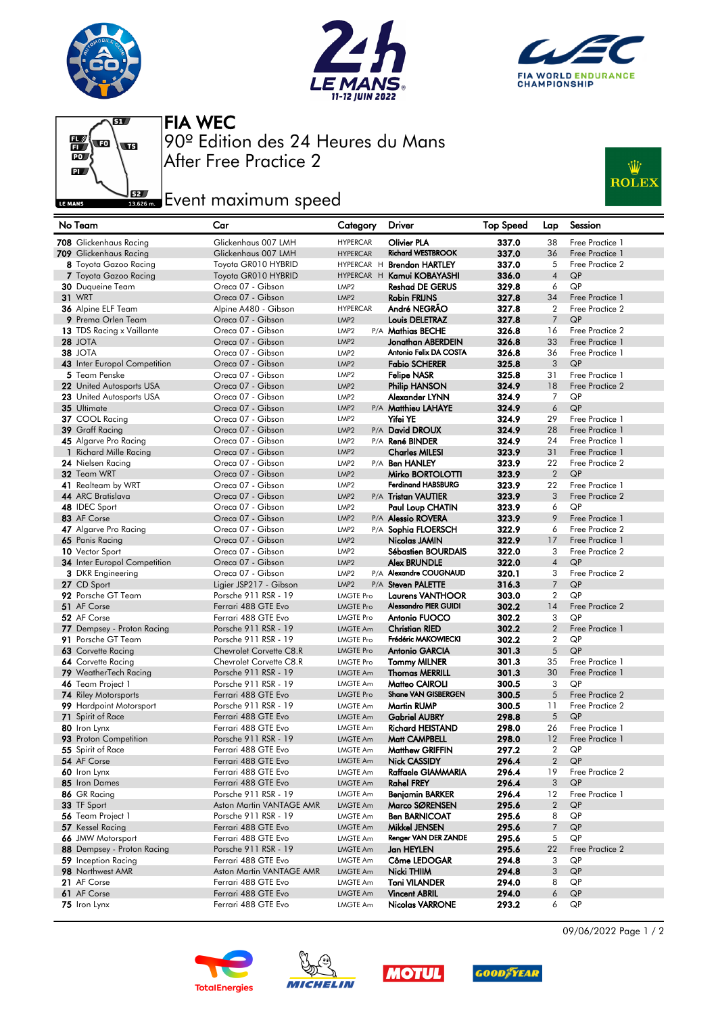







After Free Practice 2 90º Edition des 24 Heures du Mans FIA WEC

## **Example 2** Event maximum speed



| No Team                                         | Car                                         | Category                             | Driver                                           | <b>Top Speed</b> | Lap                  | Session                            |
|-------------------------------------------------|---------------------------------------------|--------------------------------------|--------------------------------------------------|------------------|----------------------|------------------------------------|
| 708 Glickenhaus Racing                          | Glickenhaus 007 LMH                         | <b>HYPERCAR</b>                      | <b>Olivier PLA</b>                               | 337.0            | 38                   | Free Practice 1                    |
| 709 Glickenhaus Racing                          | Glickenhaus 007 LMH                         | <b>HYPERCAR</b>                      | <b>Richard WESTBROOK</b>                         | 337.0            | 36                   | Free Practice 1                    |
| 8 Toyota Gazoo Racing                           | Toyota GR010 HYBRID                         |                                      | HYPERCAR H Brendon HARTLEY                       | 337.0            | 5                    | Free Practice 2                    |
| 7 Toyota Gazoo Racing                           | Toyota GR010 HYBRID                         |                                      | HYPERCAR H Kamui KOBAYASHI                       | 336.0            | $\overline{4}$       | QP                                 |
| 30 Duqueine Team                                | Oreca 07 - Gibson                           | LMP <sub>2</sub>                     | <b>Reshad DE GERUS</b>                           | 329.8            | 6                    | QP                                 |
| <b>31 WRT</b>                                   | Oreca 07 - Gibson                           | LMP <sub>2</sub>                     | <b>Robin FRIJNS</b>                              | 327.8            | 34                   | Free Practice 1                    |
| 36 Alpine ELF Team                              | Alpine A480 - Gibson                        | <b>HYPERCAR</b>                      | André NEGRÃO                                     | 327.8            | $\overline{2}$       | Free Practice 2                    |
| 9 Prema Orlen Team                              | Oreca 07 - Gibson                           | LMP <sub>2</sub>                     | Louis DELETRAZ                                   | 327.8            | $\overline{7}$       | QP                                 |
| 13 TDS Racing x Vaillante                       | Oreca 07 - Gibson                           | LMP <sub>2</sub>                     | P/A Mathias BECHE                                | 326.8            | 16                   | Free Practice 2                    |
| 28 JOTA<br><b>38 JOTA</b>                       | Oreca 07 - Gibson<br>Oreca 07 - Gibson      | LMP <sub>2</sub>                     | Jonathan ABERDEIN<br>Antonio Felix DA COSTA      | 326.8            | 33<br>36             | Free Practice 1<br>Free Practice 1 |
| 43 Inter Europol Competition                    | Oreca 07 - Gibson                           | LMP <sub>2</sub><br>LMP <sub>2</sub> | <b>Fabio SCHERER</b>                             | 326.8<br>325.8   | 3                    | QP                                 |
| 5 Team Penske                                   | Oreca 07 - Gibson                           | LMP <sub>2</sub>                     | <b>Felipe NASR</b>                               | 325.8            | 31                   | Free Practice 1                    |
| 22 United Autosports USA                        | Oreca 07 - Gibson                           | LMP <sub>2</sub>                     | Philip HANSON                                    | 324.9            | 18                   | Free Practice 2                    |
| 23 United Autosports USA                        | Oreca 07 - Gibson                           | LMP <sub>2</sub>                     | Alexander LYNN                                   | 324.9            | $\overline{7}$       | QP                                 |
| 35 Ultimate                                     | Oreca 07 - Gibson                           | LMP <sub>2</sub>                     | P/A Matthieu LAHAYE                              | 324.9            | 6                    | QP                                 |
| 37 COOL Racing                                  | Oreca 07 - Gibson                           | LMP <sub>2</sub>                     | <b>Yifei YE</b>                                  | 324.9            | 29                   | Free Practice 1                    |
| 39 Graff Racing                                 | Oreca 07 - Gibson                           | LMP <sub>2</sub>                     | P/A David DROUX                                  | 324.9            | 28                   | Free Practice 1                    |
| 45 Algarve Pro Racing                           | Oreca 07 - Gibson                           | LMP <sub>2</sub>                     | P/A René BINDER                                  | 324.9            | 24                   | Free Practice 1                    |
| 1 Richard Mille Racing                          | Oreca 07 - Gibson                           | LMP <sub>2</sub>                     | <b>Charles MILESI</b>                            | 323.9            | 31                   | Free Practice 1                    |
| 24 Nielsen Racing                               | Oreca 07 - Gibson                           | LMP <sub>2</sub>                     | P/A Ben HANLEY                                   | 323.9            | 22                   | Free Practice 2                    |
| 32 Team WRT                                     | Oreca 07 - Gibson                           | LMP <sub>2</sub>                     | Mirko BORTOLOTTI                                 | 323.9            | $\overline{2}$       | QP                                 |
| 41 Realteam by WRT                              | Oreca 07 - Gibson                           | LMP <sub>2</sub>                     | <b>Ferdinand HABSBURG</b>                        | 323.9            | 22                   | Free Practice 1                    |
| 44 ARC Bratislava                               | Oreca 07 - Gibson                           | LMP <sub>2</sub>                     | P/A Tristan VAUTIER                              | 323.9            | 3                    | Free Practice 2                    |
| 48 IDEC Sport                                   | Oreca 07 - Gibson                           | LMP <sub>2</sub>                     | Paul Loup CHATIN                                 | 323.9            | 6                    | QP                                 |
| 83 AF Corse                                     | Oreca 07 - Gibson                           | LMP <sub>2</sub>                     | P/A Alessio ROVERA                               | 323.9            | 9                    | Free Practice 1                    |
| 47 Algarve Pro Racing                           | Oreca 07 - Gibson                           | LMP <sub>2</sub>                     | P/A Sophia FLOERSCH                              | 322.9            | 6                    | Free Practice 2                    |
| 65 Panis Racing                                 | Oreca 07 - Gibson                           | LMP <sub>2</sub>                     | Nicolas JAMIN                                    | 322.9            | 17                   | Free Practice 1                    |
| 10 Vector Sport                                 | Oreca 07 - Gibson                           | LMP <sub>2</sub>                     | <b>Sébastien BOURDAIS</b>                        | 322.0            | 3                    | Free Practice 2                    |
| <b>34</b> Inter Europol Competition             | Oreca 07 - Gibson                           | LMP <sub>2</sub>                     | <b>Alex BRUNDLE</b>                              | 322.0            | $\overline{4}$       | QP                                 |
| <b>3</b> DKR Engineering                        | Oreca 07 - Gibson                           | LMP <sub>2</sub>                     | P/A Alexandre COUGNAUD                           | 320.1            | 3                    | Free Practice 2                    |
| 27 CD Sport                                     | Ligier JSP217 - Gibson                      | LMP <sub>2</sub>                     | P/A Steven PALETTE                               | 316.3            | $\overline{7}$       | QP                                 |
| 92 Porsche GT Team<br>51 AF Corse               | Porsche 911 RSR - 19<br>Ferrari 488 GTE Evo | <b>LMGTE Pro</b>                     | <b>Laurens VANTHOOR</b><br>Alessandro PIER GUIDI | 303.0            | $\overline{2}$<br>14 | QP<br>Free Practice 2              |
| 52 AF Corse                                     | Ferrari 488 GTE Evo                         | <b>LMGTE Pro</b><br><b>LMGTE Pro</b> | Antonio FUOCO                                    | 302.2<br>302.2   | 3                    | QP                                 |
| 77 Dempsey - Proton Racing                      | Porsche 911 RSR - 19                        | <b>LMGTE Am</b>                      | <b>Christian RIED</b>                            | 302.2            | $\overline{2}$       | Free Practice 1                    |
| 91 Porsche GT Team                              | Porsche 911 RSR - 19                        | <b>LMGTE Pro</b>                     | Frédéric MAKOWIECKI                              | 302.2            | $\overline{2}$       | QP                                 |
| 63 Corvette Racing                              | Chevrolet Corvette C8.R                     | <b>LMGTE Pro</b>                     | <b>Antonio GARCIA</b>                            | 301.3            | 5                    | QP                                 |
| 64 Corvette Racing                              | Chevrolet Corvette C8.R                     | <b>LMGTE Pro</b>                     | <b>Tommy MILNER</b>                              | 301.3            | 35                   | Free Practice 1                    |
| 79 WeatherTech Racing                           | Porsche 911 RSR - 19                        | <b>LMGTE Am</b>                      | <b>Thomas MERRILL</b>                            | 301.3            | 30                   | Free Practice 1                    |
| 46 Team Project 1                               | Porsche 911 RSR - 19                        | <b>LMGTE Am</b>                      | Matteo CAIROLI                                   | 300.5            | 3                    | QP                                 |
| <b>74</b> Riley Motorsports                     | Ferrari 488 GTE Evo                         | <b>LMGTE Pro</b>                     | Shane VAN GISBERGEN                              | 300.5            | 5                    | Free Practice 2                    |
| 99 Hardpoint Motorsport                         | Porsche 911 RSR - 19                        | LMGTE Am                             | <b>Martin RUMP</b>                               | 300.5            | 11                   | Free Practice 2                    |
| 71 Spirit of Race                               | Ferrari 488 GTE Evo                         | <b>LMGTE Am</b>                      | <b>Gabriel AUBRY</b>                             | 298.8            | 5                    | QP                                 |
| 80 Iron Lynx                                    | Ferrari 488 GTE Evo                         | LMGTE Am                             | <b>Richard HEISTAND</b>                          | 298.0            | 26                   | Free Practice 1                    |
| 93 Proton Competition                           | Porsche 911 RSR - 19                        | <b>LMGTE Am</b>                      | Matt CAMPBELL                                    | 298.0            | 12                   | Free Practice 1                    |
| 55 Spirit of Race                               | Ferrari 488 GTE Evo                         | LMGTE Am                             | <b>Matthew GRIFFIN</b>                           | 297.2            | $\overline{2}$       | QP                                 |
| 54 AF Corse                                     | Ferrari 488 GTE Evo                         | <b>LMGTE Am</b>                      | <b>Nick CASSIDY</b>                              | 296.4            | $\overline{2}$       | QP                                 |
| 60 Iron Lynx                                    | Ferrari 488 GTE Evo                         | LMGTE Am                             | Raffaele GIAMMARIA                               | 296.4            | 19                   | Free Practice 2                    |
| 85 Iron Dames                                   | Ferrari 488 GTE Evo                         | <b>LMGTE Am</b>                      | <b>Rahel FREY</b>                                | 296.4            | 3                    | QP                                 |
| 86 GR Racing                                    | Porsche 911 RSR - 19                        | LMGTE Am                             | <b>Benjamin BARKER</b>                           | 296.4            | 12                   | Free Practice 1                    |
| 33 TF Sport                                     | Aston Martin VANTAGE AMR                    | <b>LMGTE Am</b>                      | Marco SØRENSEN                                   | 295.6            | $\overline{2}$       | QP                                 |
| 56 Team Project 1                               | Porsche 911 RSR - 19                        | <b>LMGTE Am</b>                      | <b>Ben BARNICOAT</b>                             | 295.6            | 8                    | QP                                 |
| 57 Kessel Racing                                | Ferrari 488 GTE Evo                         | <b>LMGTE Am</b>                      | Mikkel JENSEN<br>Renger VAN DER ZANDE            | 295.6            | 7                    | QP                                 |
| 66 JMW Motorsport<br>88 Dempsey - Proton Racing | Ferrari 488 GTE Evo<br>Porsche 911 RSR - 19 | <b>LMGTE Am</b>                      |                                                  | 295.6            | 5                    | QP<br>Free Practice 2              |
| 59 Inception Racing                             | Ferrari 488 GTE Evo                         | <b>LMGTE Am</b><br><b>LMGTE Am</b>   | Jan HEYLEN<br>Côme LEDOGAR                       | 295.6<br>294.8   | 22<br>3              | QP                                 |
| 98 Northwest AMR                                | Aston Martin VANTAGE AMR                    | <b>LMGTE Am</b>                      | Nicki THIIM                                      | 294.8            | 3                    | QP                                 |
|                                                 |                                             |                                      |                                                  |                  |                      |                                    |
|                                                 |                                             |                                      |                                                  |                  |                      |                                    |
| 21 AF Corse<br>61 AF Corse                      | Ferrari 488 GTE Evo<br>Ferrari 488 GTE Evo  | <b>LMGTE Am</b><br><b>LMGTE Am</b>   | <b>Toni VILANDER</b><br><b>Vincent ABRIL</b>     | 294.0<br>294.0   | 8<br>6               | QP<br>QP                           |









09/06/2022 Page 1 / 2